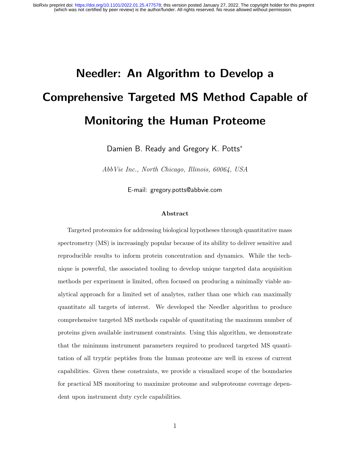# Needler: An Algorithm to Develop a Comprehensive Targeted MS Method Capable of Monitoring the Human Proteome

Damien B. Ready and Gregory K. Potts<sup>\*</sup>

AbbVie Inc., North Chicago, Illinois, 60064, USA

E-mail: gregory.potts@abbvie.com

#### Abstract

Targeted proteomics for addressing biological hypotheses through quantitative mass spectrometry (MS) is increasingly popular because of its ability to deliver sensitive and reproducible results to inform protein concentration and dynamics. While the technique is powerful, the associated tooling to develop unique targeted data acquisition methods per experiment is limited, often focused on producing a minimally viable analytical approach for a limited set of analytes, rather than one which can maximally quantitate all targets of interest. We developed the Needler algorithm to produce comprehensive targeted MS methods capable of quantitating the maximum number of proteins given available instrument constraints. Using this algorithm, we demonstrate that the minimum instrument parameters required to produced targeted MS quantitation of all tryptic peptides from the human proteome are well in excess of current capabilities. Given these constraints, we provide a visualized scope of the boundaries for practical MS monitoring to maximize proteome and subproteome coverage dependent upon instrument duty cycle capabilities.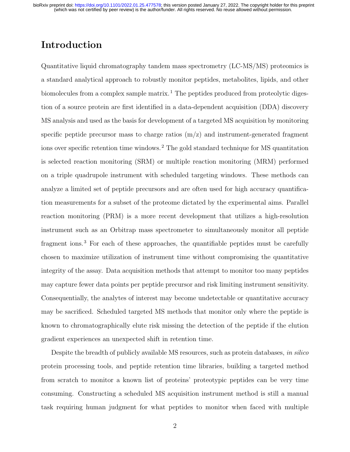## Introduction

Quantitative liquid chromatography tandem mass spectrometry (LC-MS/MS) proteomics is a standard analytical approach to robustly monitor peptides, metabolites, lipids, and other biomolecules from a complex sample matrix.<sup>1</sup> The peptides produced from proteolytic digestion of a source protein are first identified in a data-dependent acquisition (DDA) discovery MS analysis and used as the basis for development of a targeted MS acquisition by monitoring specific peptide precursor mass to charge ratios  $(m/z)$  and instrument-generated fragment ions over specific retention time windows. <sup>2</sup> The gold standard technique for MS quantitation is selected reaction monitoring (SRM) or multiple reaction monitoring (MRM) performed on a triple quadrupole instrument with scheduled targeting windows. These methods can analyze a limited set of peptide precursors and are often used for high accuracy quantification measurements for a subset of the proteome dictated by the experimental aims. Parallel reaction monitoring (PRM) is a more recent development that utilizes a high-resolution instrument such as an Orbitrap mass spectrometer to simultaneously monitor all peptide fragment ions.<sup>3</sup> For each of these approaches, the quantifiable peptides must be carefully chosen to maximize utilization of instrument time without compromising the quantitative integrity of the assay. Data acquisition methods that attempt to monitor too many peptides may capture fewer data points per peptide precursor and risk limiting instrument sensitivity. Consequentially, the analytes of interest may become undetectable or quantitative accuracy may be sacrificed. Scheduled targeted MS methods that monitor only where the peptide is known to chromatographically elute risk missing the detection of the peptide if the elution gradient experiences an unexpected shift in retention time.

Despite the breadth of publicly available MS resources, such as protein databases, in silico protein processing tools, and peptide retention time libraries, building a targeted method from scratch to monitor a known list of proteins' proteotypic peptides can be very time consuming. Constructing a scheduled MS acquisition instrument method is still a manual task requiring human judgment for what peptides to monitor when faced with multiple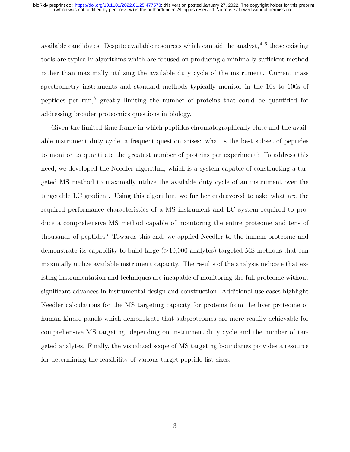available candidates. Despite available resources which can aid the analyst,  $4-6$  these existing tools are typically algorithms which are focused on producing a minimally sufficient method rather than maximally utilizing the available duty cycle of the instrument. Current mass spectrometry instruments and standard methods typically monitor in the 10s to 100s of peptides per run,<sup> $7$ </sup> greatly limiting the number of proteins that could be quantified for addressing broader proteomics questions in biology.

Given the limited time frame in which peptides chromatographically elute and the available instrument duty cycle, a frequent question arises: what is the best subset of peptides to monitor to quantitate the greatest number of proteins per experiment? To address this need, we developed the Needler algorithm, which is a system capable of constructing a targeted MS method to maximally utilize the available duty cycle of an instrument over the targetable LC gradient. Using this algorithm, we further endeavored to ask: what are the required performance characteristics of a MS instrument and LC system required to produce a comprehensive MS method capable of monitoring the entire proteome and tens of thousands of peptides? Towards this end, we applied Needler to the human proteome and demonstrate its capability to build large (>10,000 analytes) targeted MS methods that can maximally utilize available instrument capacity. The results of the analysis indicate that existing instrumentation and techniques are incapable of monitoring the full proteome without significant advances in instrumental design and construction. Additional use cases highlight Needler calculations for the MS targeting capacity for proteins from the liver proteome or human kinase panels which demonstrate that subproteomes are more readily achievable for comprehensive MS targeting, depending on instrument duty cycle and the number of targeted analytes. Finally, the visualized scope of MS targeting boundaries provides a resource for determining the feasibility of various target peptide list sizes.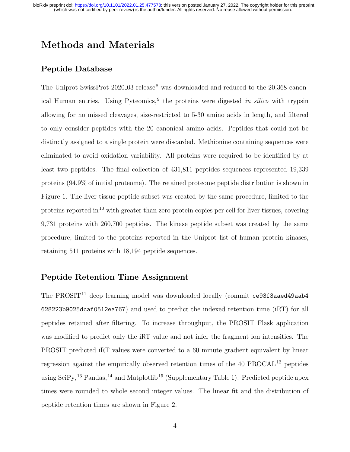## Methods and Materials

### Peptide Database

The Uniprot SwissProt 2020<sub>-03</sub> release<sup>8</sup> was downloaded and reduced to the 20,368 canonical Human entries. Using Pyteomics,<sup>9</sup> the proteins were digested in silico with trypsin allowing for no missed cleavages, size-restricted to 5-30 amino acids in length, and filtered to only consider peptides with the 20 canonical amino acids. Peptides that could not be distinctly assigned to a single protein were discarded. Methionine containing sequences were eliminated to avoid oxidation variability. All proteins were required to be identified by at least two peptides. The final collection of 431,811 peptides sequences represented 19,339 proteins (94.9% of initial proteome). The retained proteome peptide distribution is shown in Figure 1. The liver tissue peptide subset was created by the same procedure, limited to the proteins reported in<sup>10</sup> with greater than zero protein copies per cell for liver tissues, covering 9,731 proteins with 260,700 peptides. The kinase peptide subset was created by the same procedure, limited to the proteins reported in the Uniprot list of human protein kinases, retaining 511 proteins with 18,194 peptide sequences.

#### Peptide Retention Time Assignment

The PROSIT<sup>11</sup> deep learning model was downloaded locally (commit ce93f3aaed49aab4 628223b9025dcaf0512ea767) and used to predict the indexed retention time (iRT) for all peptides retained after filtering. To increase throughput, the PROSIT Flask application was modified to predict only the iRT value and not infer the fragment ion intensities. The PROSIT predicted iRT values were converted to a 60 minute gradient equivalent by linear regression against the empirically observed retention times of the  $40$  PROCAL<sup>12</sup> peptides using  $\text{SciPy},^{13}$  Pandas,<sup>14</sup> and Matplotlib<sup>15</sup> (Supplementary Table 1). Predicted peptide apex times were rounded to whole second integer values. The linear fit and the distribution of peptide retention times are shown in Figure 2.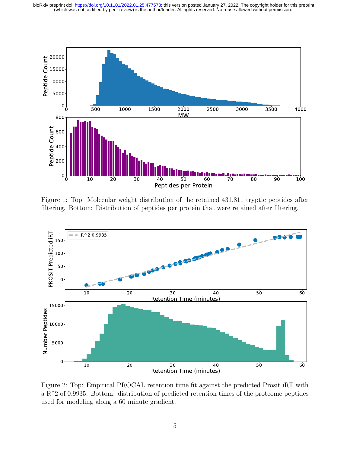

Figure 1: Top: Molecular weight distribution of the retained 431,811 tryptic peptides after filtering. Bottom: Distribution of peptides per protein that were retained after filtering.



Figure 2: Top: Empirical PROCAL retention time fit against the predicted Prosit iRT with a Rˆ2 of 0.9935. Bottom: distribution of predicted retention times of the proteome peptides used for modeling along a 60 minute gradient.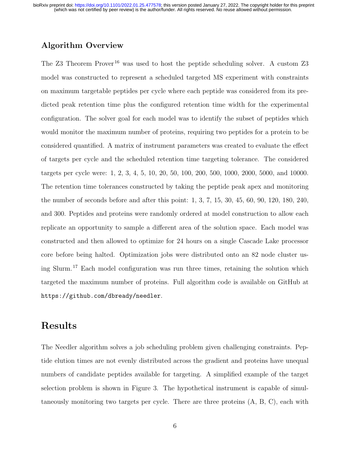### Algorithm Overview

The Z3 Theorem Prover <sup>16</sup> was used to host the peptide scheduling solver. A custom Z3 model was constructed to represent a scheduled targeted MS experiment with constraints on maximum targetable peptides per cycle where each peptide was considered from its predicted peak retention time plus the configured retention time width for the experimental configuration. The solver goal for each model was to identify the subset of peptides which would monitor the maximum number of proteins, requiring two peptides for a protein to be considered quantified. A matrix of instrument parameters was created to evaluate the effect of targets per cycle and the scheduled retention time targeting tolerance. The considered targets per cycle were: 1, 2, 3, 4, 5, 10, 20, 50, 100, 200, 500, 1000, 2000, 5000, and 10000. The retention time tolerances constructed by taking the peptide peak apex and monitoring the number of seconds before and after this point: 1, 3, 7, 15, 30, 45, 60, 90, 120, 180, 240, and 300. Peptides and proteins were randomly ordered at model construction to allow each replicate an opportunity to sample a different area of the solution space. Each model was constructed and then allowed to optimize for 24 hours on a single Cascade Lake processor core before being halted. Optimization jobs were distributed onto an 82 node cluster using Slurm.<sup>17</sup> Each model configuration was run three times, retaining the solution which targeted the maximum number of proteins. Full algorithm code is available on GitHub at https://github.com/dbready/needler.

## Results

The Needler algorithm solves a job scheduling problem given challenging constraints. Peptide elution times are not evenly distributed across the gradient and proteins have unequal numbers of candidate peptides available for targeting. A simplified example of the target selection problem is shown in Figure 3. The hypothetical instrument is capable of simultaneously monitoring two targets per cycle. There are three proteins (A, B, C), each with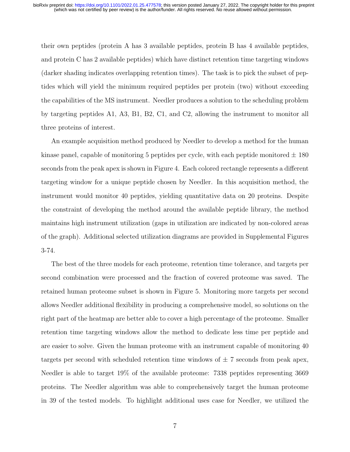their own peptides (protein A has 3 available peptides, protein B has 4 available peptides, and protein C has 2 available peptides) which have distinct retention time targeting windows (darker shading indicates overlapping retention times). The task is to pick the subset of peptides which will yield the minimum required peptides per protein (two) without exceeding the capabilities of the MS instrument. Needler produces a solution to the scheduling problem by targeting peptides A1, A3, B1, B2, C1, and C2, allowing the instrument to monitor all three proteins of interest.

An example acquisition method produced by Needler to develop a method for the human kinase panel, capable of monitoring 5 peptides per cycle, with each peptide monitored  $\pm$  180 seconds from the peak apex is shown in Figure 4. Each colored rectangle represents a different targeting window for a unique peptide chosen by Needler. In this acquisition method, the instrument would monitor 40 peptides, yielding quantitative data on 20 proteins. Despite the constraint of developing the method around the available peptide library, the method maintains high instrument utilization (gaps in utilization are indicated by non-colored areas of the graph). Additional selected utilization diagrams are provided in Supplemental Figures 3-74.

The best of the three models for each proteome, retention time tolerance, and targets per second combination were processed and the fraction of covered proteome was saved. The retained human proteome subset is shown in Figure 5. Monitoring more targets per second allows Needler additional flexibility in producing a comprehensive model, so solutions on the right part of the heatmap are better able to cover a high percentage of the proteome. Smaller retention time targeting windows allow the method to dedicate less time per peptide and are easier to solve. Given the human proteome with an instrument capable of monitoring 40 targets per second with scheduled retention time windows of  $\pm$  7 seconds from peak apex, Needler is able to target 19% of the available proteome: 7338 peptides representing 3669 proteins. The Needler algorithm was able to comprehensively target the human proteome in 39 of the tested models. To highlight additional uses case for Needler, we utilized the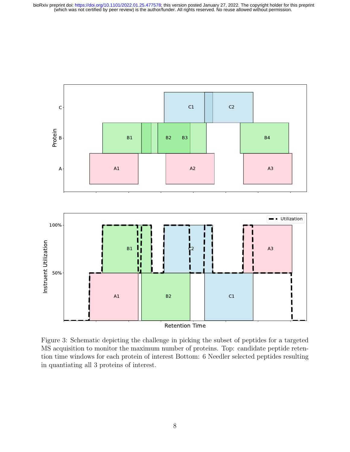

Figure 3: Schematic depicting the challenge in picking the subset of peptides for a targeted MS acquisition to monitor the maximum number of proteins. Top: candidate peptide retention time windows for each protein of interest Bottom: 6 Needler selected peptides resulting in quantiating all 3 proteins of interest.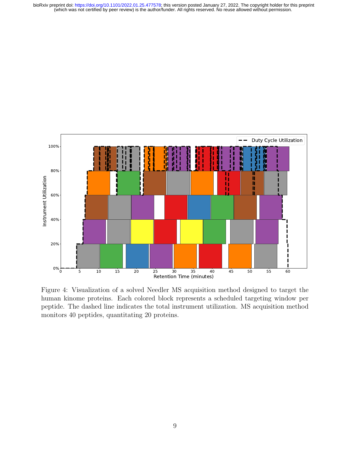

Figure 4: Visualization of a solved Needler MS acquisition method designed to target the human kinome proteins. Each colored block represents a scheduled targeting window per peptide. The dashed line indicates the total instrument utilization. MS acquisition method monitors 40 peptides, quantitating 20 proteins.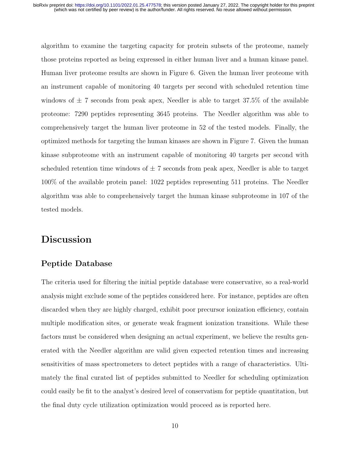algorithm to examine the targeting capacity for protein subsets of the proteome, namely those proteins reported as being expressed in either human liver and a human kinase panel. Human liver proteome results are shown in Figure 6. Given the human liver proteome with an instrument capable of monitoring 40 targets per second with scheduled retention time windows of  $\pm$  7 seconds from peak apex, Needler is able to target 37.5% of the available proteome: 7290 peptides representing 3645 proteins. The Needler algorithm was able to comprehensively target the human liver proteome in 52 of the tested models. Finally, the optimized methods for targeting the human kinases are shown in Figure 7. Given the human kinase subproteome with an instrument capable of monitoring 40 targets per second with scheduled retention time windows of  $\pm$  7 seconds from peak apex, Needler is able to target 100% of the available protein panel: 1022 peptides representing 511 proteins. The Needler algorithm was able to comprehensively target the human kinase subproteome in 107 of the tested models.

## Discussion

#### Peptide Database

The criteria used for filtering the initial peptide database were conservative, so a real-world analysis might exclude some of the peptides considered here. For instance, peptides are often discarded when they are highly charged, exhibit poor precursor ionization efficiency, contain multiple modification sites, or generate weak fragment ionization transitions. While these factors must be considered when designing an actual experiment, we believe the results generated with the Needler algorithm are valid given expected retention times and increasing sensitivities of mass spectrometers to detect peptides with a range of characteristics. Ultimately the final curated list of peptides submitted to Needler for scheduling optimization could easily be fit to the analyst's desired level of conservatism for peptide quantitation, but the final duty cycle utilization optimization would proceed as is reported here.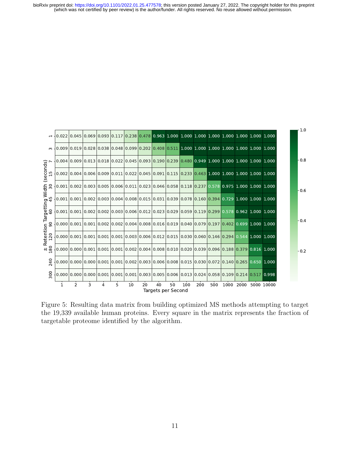(which was not certified by peer review) is the author/funder. All rights reserved. No reuse allowed without permission. bioRxiv preprint doi: [https://doi.org/10.1101/2022.01.25.477578;](https://doi.org/10.1101/2022.01.25.477578) this version posted January 27, 2022. The copyright holder for this preprint



Figure 5: Resulting data matrix from building optimized MS methods attempting to target the 19,339 available human proteins. Every square in the matrix represents the fraction of targetable proteome identified by the algorithm.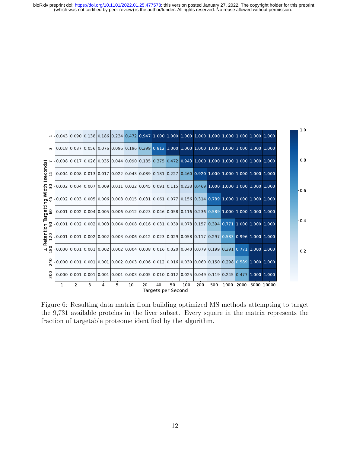(which was not certified by peer review) is the author/funder. All rights reserved. No reuse allowed without permission. bioRxiv preprint doi: [https://doi.org/10.1101/2022.01.25.477578;](https://doi.org/10.1101/2022.01.25.477578) this version posted January 27, 2022. The copyright holder for this preprint



Figure 6: Resulting data matrix from building optimized MS methods attempting to target the 9,731 available proteins in the liver subset. Every square in the matrix represents the fraction of targetable proteome identified by the algorithm.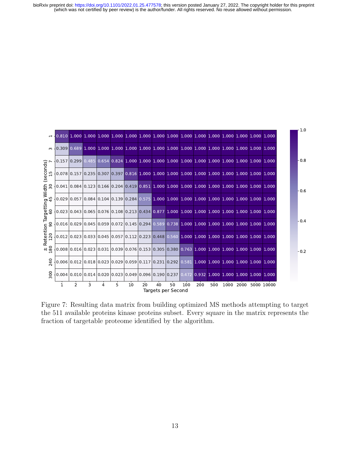|                 | $-10.810$ 1.000 1.000 1.000 1.000 1.000 1.000 1.000 1.000 1.000 1.000 1.000 1.000 1.000 1.000 1.000 1.000                                                                                                       |                |   |   |   |    |    |                          |    |     |                                                                                                                                                                              |     |      |      |            |
|-----------------|-----------------------------------------------------------------------------------------------------------------------------------------------------------------------------------------------------------------|----------------|---|---|---|----|----|--------------------------|----|-----|------------------------------------------------------------------------------------------------------------------------------------------------------------------------------|-----|------|------|------------|
| $\infty$        | $-0.309$ 0.689 1.000 1.000 1.000 1.000 1.000 1.000 1.000 1.000 1.000 1.000 1.000 1.000 1.000 1.000 1.000                                                                                                        |                |   |   |   |    |    |                          |    |     |                                                                                                                                                                              |     |      |      |            |
| (seconds)<br>15 | $[0.157]$ $[0.299]$ $[0.485]$ $[0.654]$ $[0.824]$ $[1.000]$ $[1.000]$ $[1.000]$ $[1.000]$ $[1.000]$ $[1.000]$ $[1.000]$ $[1.000]$ $[1.000]$                                                                     |                |   |   |   |    |    |                          |    |     |                                                                                                                                                                              |     |      |      |            |
|                 | $(0.078 0.157 0.235 0.307 0.397 0.816 1.000 1.000 1.000 1.000 1.000 1.000 1.000 1.000 1.000 1.000$                                                                                                              |                |   |   |   |    |    |                          |    |     |                                                                                                                                                                              |     |      |      |            |
|                 | $(0.041008400.1230016600.2040.419008511.00010.000100001.000100001.00010001.00010001.0001000$                                                                                                                    |                |   |   |   |    |    |                          |    |     |                                                                                                                                                                              |     |      |      |            |
|                 |                                                                                                                                                                                                                 |                |   |   |   |    |    |                          |    |     | $0.029 \mid 0.057 \mid 0.084 \mid 0.104 \mid 0.139 \mid 0.284 \mid 0.575 \mid 1.000 \mid 1.000 \mid 1.000 \mid 1.000 \mid 1.000 \mid 1.000 \mid 1.000 \mid 1.000 \mid 1.000$ |     |      |      |            |
| argetting Width | $(0.023 0.043 0.065 0.076 0.108 0.213 0.434 0.877 1.000 1.000 1.000 1.000 1.000 1.000 1.000 1.000$                                                                                                              |                |   |   |   |    |    |                          |    |     |                                                                                                                                                                              |     |      |      |            |
| Retention Ta    | $\mid$ 0.016 $\mid$ 0.029 $\mid$ 0.045 $\mid$ 0.059 $\mid$ 0.072 $\mid$ 0.145 $\mid$ 0.294 $\mid$ 0.589 $\mid$ 0.738 $\mid$ 1.000 $\mid$ 1.000 $\mid$ 1.000 $\mid$ 1.000 $\mid$ 1.000 $\mid$ 1.000 $\mid$ 1.000 |                |   |   |   |    |    |                          |    |     |                                                                                                                                                                              |     |      |      |            |
| 120             | $(0.012 0.023 0.033 0.045 0.057 0.112 0.223 0.448 0.560 1.000 1.000 1.000 1.000 1.000 1.000 1.000$                                                                                                              |                |   |   |   |    |    |                          |    |     |                                                                                                                                                                              |     |      |      |            |
| $+1\frac{8}{2}$ | $(0.008 0.016 0.023 0.031 0.039 0.076 0.153 0.305 0.380 0.763 1.000 1.000 1.000 1.000 1.000 1.000$                                                                                                              |                |   |   |   |    |    |                          |    |     |                                                                                                                                                                              |     |      |      |            |
| 240             |                                                                                                                                                                                                                 |                |   |   |   |    |    |                          |    |     | $0.006 \mid 0.012 \mid 0.018 \mid 0.023 \mid 0.029 \mid 0.059 \mid 0.117 \mid 0.231 \mid 0.292 \mid 0.581 \mid 1.000 \mid 1.000 \mid 1.000 \mid 1.000 \mid 1.000 \mid 1.000$ |     |      |      |            |
| 500             | $(0.004 0.010 0.014 0.020 0.023 0.049 0.096 0.190 0.237 0.472 0.932 1.000 1.000 1.000 1.000 1.000$                                                                                                              |                |   |   |   |    |    |                          |    |     |                                                                                                                                                                              |     |      |      |            |
|                 |                                                                                                                                                                                                                 | $\overline{2}$ | 3 | 4 | 5 | 10 | 20 | 40<br>Targets per Second | 50 | 100 | 200                                                                                                                                                                          | 500 | 1000 | 2000 | 5000 10000 |

Figure 7: Resulting data matrix from building optimized MS methods attempting to target the 511 available proteins kinase proteins subset. Every square in the matrix represents the fraction of targetable proteome identified by the algorithm.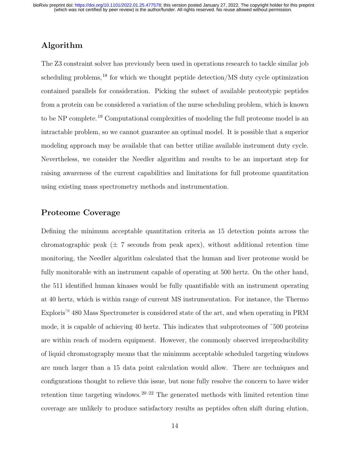#### Algorithm

The Z3 constraint solver has previously been used in operations research to tackle similar job scheduling problems,  $^{18}$  for which we thought peptide detection/MS duty cycle optimization contained parallels for consideration. Picking the subset of available proteotypic peptides from a protein can be considered a variation of the nurse scheduling problem, which is known to be NP complete.<sup>19</sup> Computational complexities of modeling the full proteome model is an intractable problem, so we cannot guarantee an optimal model. It is possible that a superior modeling approach may be available that can better utilize available instrument duty cycle. Nevertheless, we consider the Needler algorithm and results to be an important step for raising awareness of the current capabilities and limitations for full proteome quantitation using existing mass spectrometry methods and instrumentation.

#### Proteome Coverage

Defining the minimum acceptable quantitation criteria as 15 detection points across the chromatographic peak  $(\pm 7)$  seconds from peak apex), without additional retention time monitoring, the Needler algorithm calculated that the human and liver proteome would be fully monitorable with an instrument capable of operating at 500 hertz. On the other hand, the 511 identified human kinases would be fully quantifiable with an instrument operating at 40 hertz, which is within range of current MS instrumentation. For instance, the Thermo Exploris<sup> $M$ </sup> 480 Mass Spectrometer is considered state of the art, and when operating in PRM mode, it is capable of achieving 40 hertz. This indicates that subproteomes of ˜500 proteins are within reach of modern equipment. However, the commonly observed irreproducibility of liquid chromatography means that the minimum acceptable scheduled targeting windows are much larger than a 15 data point calculation would allow. There are techniques and configurations thought to relieve this issue, but none fully resolve the concern to have wider retention time targeting windows.  $20-22$  The generated methods with limited retention time coverage are unlikely to produce satisfactory results as peptides often shift during elution,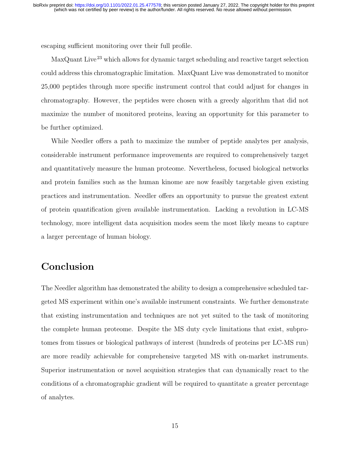escaping sufficient monitoring over their full profile.

MaxQuant Live <sup>23</sup> which allows for dynamic target scheduling and reactive target selection could address this chromatographic limitation. MaxQuant Live was demonstrated to monitor 25,000 peptides through more specific instrument control that could adjust for changes in chromatography. However, the peptides were chosen with a greedy algorithm that did not maximize the number of monitored proteins, leaving an opportunity for this parameter to be further optimized.

While Needler offers a path to maximize the number of peptide analytes per analysis, considerable instrument performance improvements are required to comprehensively target and quantitatively measure the human proteome. Nevertheless, focused biological networks and protein families such as the human kinome are now feasibly targetable given existing practices and instrumentation. Needler offers an opportunity to pursue the greatest extent of protein quantification given available instrumentation. Lacking a revolution in LC-MS technology, more intelligent data acquisition modes seem the most likely means to capture a larger percentage of human biology.

## Conclusion

The Needler algorithm has demonstrated the ability to design a comprehensive scheduled targeted MS experiment within one's available instrument constraints. We further demonstrate that existing instrumentation and techniques are not yet suited to the task of monitoring the complete human proteome. Despite the MS duty cycle limitations that exist, subprotomes from tissues or biological pathways of interest (hundreds of proteins per LC-MS run) are more readily achievable for comprehensive targeted MS with on-market instruments. Superior instrumentation or novel acquisition strategies that can dynamically react to the conditions of a chromatographic gradient will be required to quantitate a greater percentage of analytes.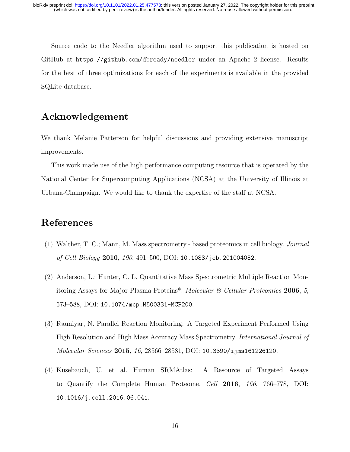Source code to the Needler algorithm used to support this publication is hosted on GitHub at https://github.com/dbready/needler under an Apache 2 license. Results for the best of three optimizations for each of the experiments is available in the provided SQLite database.

## Acknowledgement

We thank Melanie Patterson for helpful discussions and providing extensive manuscript improvements.

This work made use of the high performance computing resource that is operated by the National Center for Supercomputing Applications (NCSA) at the University of Illinois at Urbana-Champaign. We would like to thank the expertise of the staff at NCSA.

## References

- (1) Walther, T. C.; Mann, M. Mass spectrometry based proteomics in cell biology. Journal of Cell Biology 2010, 190, 491–500, DOI: 10.1083/jcb.201004052.
- (2) Anderson, L.; Hunter, C. L. Quantitative Mass Spectrometric Multiple Reaction Monitoring Assays for Major Plasma Proteins<sup>\*</sup>. Molecular  $\mathcal C$  Cellular Proteomics 2006, 5, 573–588, DOI: 10.1074/mcp.M500331-MCP200.
- (3) Rauniyar, N. Parallel Reaction Monitoring: A Targeted Experiment Performed Using High Resolution and High Mass Accuracy Mass Spectrometry. International Journal of Molecular Sciences 2015, 16, 28566–28581, DOI: 10.3390/ijms161226120.
- (4) Kusebauch, U. et al. Human SRMAtlas: A Resource of Targeted Assays to Quantify the Complete Human Proteome. Cell 2016, 166, 766–778, DOI: 10.1016/j.cell.2016.06.041.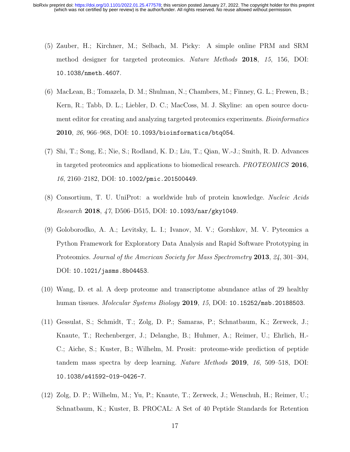- (5) Zauber, H.; Kirchner, M.; Selbach, M. Picky: A simple online PRM and SRM method designer for targeted proteomics. Nature Methods 2018, 15, 156, DOI: 10.1038/nmeth.4607.
- (6) MacLean, B.; Tomazela, D. M.; Shulman, N.; Chambers, M.; Finney, G. L.; Frewen, B.; Kern, R.; Tabb, D. L.; Liebler, D. C.; MacCoss, M. J. Skyline: an open source document editor for creating and analyzing targeted proteomics experiments. Bioinformatics 2010, 26, 966–968, DOI: 10.1093/bioinformatics/btq054.
- (7) Shi, T.; Song, E.; Nie, S.; Rodland, K. D.; Liu, T.; Qian, W.-J.; Smith, R. D. Advances in targeted proteomics and applications to biomedical research. PROTEOMICS 2016, 16, 2160–2182, DOI: 10.1002/pmic.201500449.
- (8) Consortium, T. U. UniProt: a worldwide hub of protein knowledge. Nucleic Acids Research 2018, 47, D506–D515, DOI: 10.1093/nar/gky1049.
- (9) Goloborodko, A. A.; Levitsky, L. I.; Ivanov, M. V.; Gorshkov, M. V. Pyteomics a Python Framework for Exploratory Data Analysis and Rapid Software Prototyping in Proteomics. Journal of the American Society for Mass Spectrometry 2013, 24, 301–304, DOI: 10.1021/jasms.8b04453.
- (10) Wang, D. et al. A deep proteome and transcriptome abundance atlas of 29 healthy human tissues. Molecular Systems Biology 2019, 15, DOI: 10.15252/msb.20188503.
- (11) Gessulat, S.; Schmidt, T.; Zolg, D. P.; Samaras, P.; Schnatbaum, K.; Zerweck, J.; Knaute, T.; Rechenberger, J.; Delanghe, B.; Huhmer, A.; Reimer, U.; Ehrlich, H.- C.; Aiche, S.; Kuster, B.; Wilhelm, M. Prosit: proteome-wide prediction of peptide tandem mass spectra by deep learning. Nature Methods 2019, 16, 509–518, DOI: 10.1038/s41592-019-0426-7.
- (12) Zolg, D. P.; Wilhelm, M.; Yu, P.; Knaute, T.; Zerweck, J.; Wenschuh, H.; Reimer, U.; Schnatbaum, K.; Kuster, B. PROCAL: A Set of 40 Peptide Standards for Retention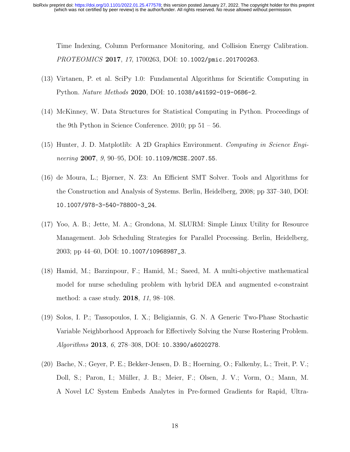Time Indexing, Column Performance Monitoring, and Collision Energy Calibration. PROTEOMICS 2017, 17, 1700263, DOI: 10.1002/pmic.201700263.

- (13) Virtanen, P. et al. SciPy 1.0: Fundamental Algorithms for Scientific Computing in Python. Nature Methods 2020, DOI: 10.1038/s41592-019-0686-2.
- (14) McKinney, W. Data Structures for Statistical Computing in Python. Proceedings of the 9th Python in Science Conference. 2010; pp  $51 - 56$ .
- (15) Hunter, J. D. Matplotlib: A 2D Graphics Environment. Computing in Science Engineering 2007, 9, 90–95, DOI: 10.1109/MCSE.2007.55.
- (16) de Moura, L.; Bjørner, N. Z3: An Efficient SMT Solver. Tools and Algorithms for the Construction and Analysis of Systems. Berlin, Heidelberg, 2008; pp 337–340, DOI: 10.1007/978-3-540-78800-3\_24.
- (17) Yoo, A. B.; Jette, M. A.; Grondona, M. SLURM: Simple Linux Utility for Resource Management. Job Scheduling Strategies for Parallel Processing. Berlin, Heidelberg, 2003; pp 44–60, DOI: 10.1007/10968987\_3.
- (18) Hamid, M.; Barzinpour, F.; Hamid, M.; Saeed, M. A multi-objective mathematical model for nurse scheduling problem with hybrid DEA and augmented e-constraint method: a case study. 2018, 11, 98–108.
- (19) Solos, I. P.; Tassopoulos, I. X.; Beligiannis, G. N. A Generic Two-Phase Stochastic Variable Neighborhood Approach for Effectively Solving the Nurse Rostering Problem. Algorithms 2013, 6, 278–308, DOI: 10.3390/a6020278.
- (20) Bache, N.; Geyer, P. E.; Bekker-Jensen, D. B.; Hoerning, O.; Falkenby, L.; Treit, P. V.; Doll, S.; Paron, I.; Müller, J. B.; Meier, F.; Olsen, J. V.; Vorm, O.; Mann, M. A Novel LC System Embeds Analytes in Pre-formed Gradients for Rapid, Ultra-